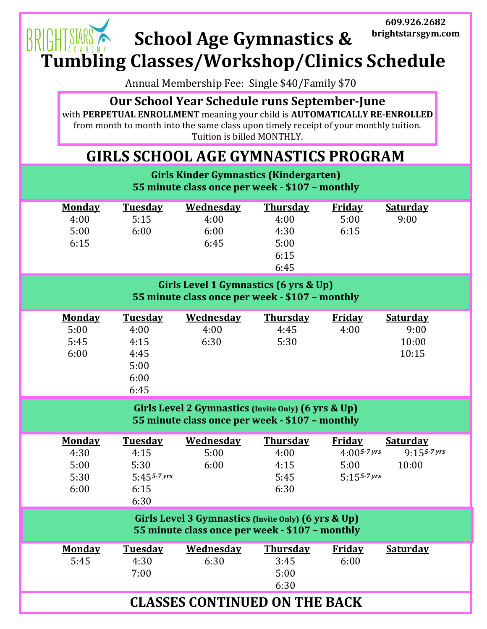## **609.926.2682** GHT STARS BRI **School Age Gymnastics & brightstarsgym.com Tumbling Classes/Workshop/Clinics Schedule**

Annual Membership Fee: Single \$40/Family \$70

**Our School Year Schedule runs September-June**

with **PERPETUAL ENROLLMENT** meaning your child is **AUTOMATICALLY RE-ENROLLED** from month to month into the same class upon timely receipt of your monthly tuition. Tuition is billed MONTHLY.

## **GIRLS SCHOOL AGE GYMNASTICS PROGRAM**

| <b>Girls Kinder Gymnastics (Kindergarten)</b><br>55 minute class once per week - \$107 - monthly       |                                                                   |                                          |                                                         |                                                             |                                             |  |  |  |  |
|--------------------------------------------------------------------------------------------------------|-------------------------------------------------------------------|------------------------------------------|---------------------------------------------------------|-------------------------------------------------------------|---------------------------------------------|--|--|--|--|
| <b>Monday</b><br>4:00<br>5:00<br>6:15                                                                  | <b>Tuesday</b><br>5:15<br>6:00                                    | <b>Wednesday</b><br>4:00<br>6:00<br>6:45 | <b>Thursday</b><br>4:00<br>4:30<br>5:00<br>6:15<br>6:45 | <b>Friday</b><br>5:00<br>6:15                               | <b>Saturday</b><br>9:00                     |  |  |  |  |
| Girls Level 1 Gymnastics (6 yrs & Up)<br>55 minute class once per week - \$107 - monthly               |                                                                   |                                          |                                                         |                                                             |                                             |  |  |  |  |
| <b>Monday</b><br>5:00<br>5:45<br>6:00                                                                  | <b>Tuesday</b><br>4:00<br>4:15<br>4:45<br>5:00<br>6:00<br>6:45    | <b>Wednesday</b><br>4:00<br>6:30         | <b>Thursday</b><br>4:45<br>5:30                         | <b>Friday</b><br>4:00                                       | <b>Saturday</b><br>9:00<br>10:00<br>10:15   |  |  |  |  |
| Girls Level 2 Gymnastics (Invite Only) (6 yrs & Up)<br>55 minute class once per week - \$107 - monthly |                                                                   |                                          |                                                         |                                                             |                                             |  |  |  |  |
| <b>Monday</b><br>4:30<br>5:00<br>5:30<br>6:00                                                          | <b>Tuesday</b><br>4:15<br>5:30<br>$5:455 - 7$ yrs<br>6:15<br>6:30 | <b>Wednesday</b><br>5:00<br>6:00         | <b>Thursday</b><br>4:00<br>4:15<br>5:45<br>6:30         | <b>Friday</b><br>$4:005 - 7$ yrs<br>5:00<br>$5:155 - 7$ yrs | <b>Saturday</b><br>$9:155 - 7$ yrs<br>10:00 |  |  |  |  |
| Girls Level 3 Gymnastics (Invite Only) (6 yrs & Up)<br>55 minute class once per week - \$107 - monthly |                                                                   |                                          |                                                         |                                                             |                                             |  |  |  |  |
| <b>Monday</b><br>5:45                                                                                  | <b>Tuesday</b><br>4:30<br>7:00                                    | Wednesday<br>6:30                        | <b>Thursday</b><br>3:45<br>5:00<br>6:30                 | <b>Friday</b><br>6:00                                       | Saturday                                    |  |  |  |  |
| <b>CLASSES CONTINUED ON THE BACK</b>                                                                   |                                                                   |                                          |                                                         |                                                             |                                             |  |  |  |  |